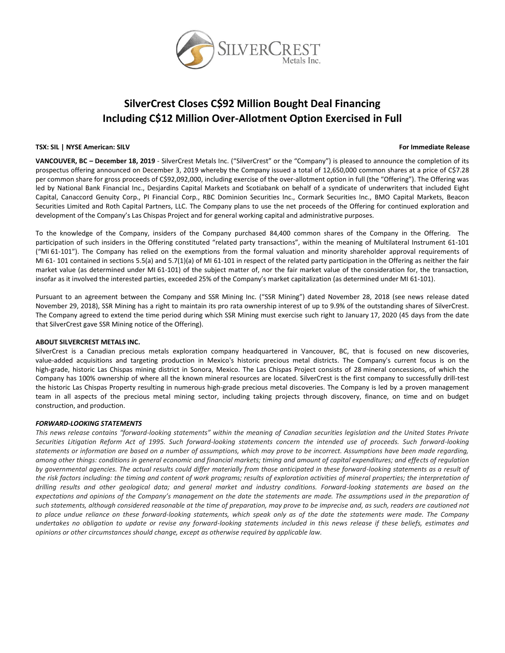

# **SilverCrest Closes C\$92 Million Bought Deal Financing Including C\$12 Million Over-Allotment Option Exercised in Full**

#### **TSX: SIL | NYSE American: SILV For Immediate Release**

**VANCOUVER, BC – December 18, 2019** - SilverCrest Metals Inc. ("SilverCrest" or the "Company") is pleased to announce the completion of its prospectus offering announced on December 3, 2019 whereby the Company issued a total of 12,650,000 common shares at a price of C\$7.28 per common share for gross proceeds of C\$92,092,000, including exercise of the over-allotment option in full (the "Offering"). The Offering was led by National Bank Financial Inc., Desjardins Capital Markets and Scotiabank on behalf of a syndicate of underwriters that included Eight Capital, Canaccord Genuity Corp., PI Financial Corp., RBC Dominion Securities Inc., Cormark Securities Inc., BMO Capital Markets, Beacon Securities Limited and Roth Capital Partners, LLC. The Company plans to use the net proceeds of the Offering for continued exploration and development of the Company's Las Chispas Project and for general working capital and administrative purposes.

To the knowledge of the Company, insiders of the Company purchased 84,400 common shares of the Company in the Offering. The participation of such insiders in the Offering constituted "related party transactions", within the meaning of Multilateral Instrument 61-101 ("MI 61-101"). The Company has relied on the exemptions from the formal valuation and minority shareholder approval requirements of MI 61- 101 contained in sections 5.5(a) and 5.7(1)(a) of MI 61-101 in respect of the related party participation in the Offering as neither the fair market value (as determined under MI 61-101) of the subject matter of, nor the fair market value of the consideration for, the transaction, insofar as it involved the interested parties, exceeded 25% of the Company's market capitalization (as determined under MI 61-101).

Pursuant to an agreement between the Company and SSR Mining Inc. ("SSR Mining") dated November 28, 2018 (see news release dated November 29, 2018), SSR Mining has a right to maintain its pro rata ownership interest of up to 9.9% of the outstanding shares of SilverCrest. The Company agreed to extend the time period during which SSR Mining must exercise such right to January 17, 2020 (45 days from the date that SilverCrest gave SSR Mining notice of the Offering).

## **ABOUT SILVERCREST METALS INC.**

SilverCrest is a Canadian precious metals exploration company headquartered in Vancouver, BC, that is focused on new discoveries, value-added acquisitions and targeting production in Mexico's historic precious metal districts. The Company's current focus is on the high-grade, historic Las Chispas mining district in Sonora, Mexico. The Las Chispas Project consists of 28 mineral concessions, of which the Company has 100% ownership of where all the known mineral resources are located. SilverCrest is the first company to successfully drill-test the historic Las Chispas Property resulting in numerous high-grade precious metal discoveries. The Company is led by a proven management team in all aspects of the precious metal mining sector, including taking projects through discovery, finance, on time and on budget construction, and production.

## *FORWARD-LOOKING STATEMENTS*

*This news release contains "forward-looking statements" within the meaning of Canadian securities legislation and the United States Private Securities Litigation Reform Act of 1995. Such forward-looking statements concern the intended use of proceeds. Such forward-looking statements or information are based on a number of assumptions, which may prove to be incorrect. Assumptions have been made regarding, among other things: conditions in general economic and financial markets; timing and amount of capital expenditures; and effects of regulation by governmental agencies. The actual results could differ materially from those anticipated in these forward-looking statements as a result of the risk factors including: the timing and content of work programs; results of exploration activities of mineral properties; the interpretation of drilling results and other geological data; and general market and industry conditions. Forward-looking statements are based on the expectations and opinions of the Company's management on the date the statements are made. The assumptions used in the preparation of such statements, although considered reasonable at the time of preparation, may prove to be imprecise and, as such, readers are cautioned not to place undue reliance on these forward-looking statements, which speak only as of the date the statements were made. The Company undertakes no obligation to update or revise any forward-looking statements included in this news release if these beliefs, estimates and opinions or other circumstances should change, except as otherwise required by applicable law.*